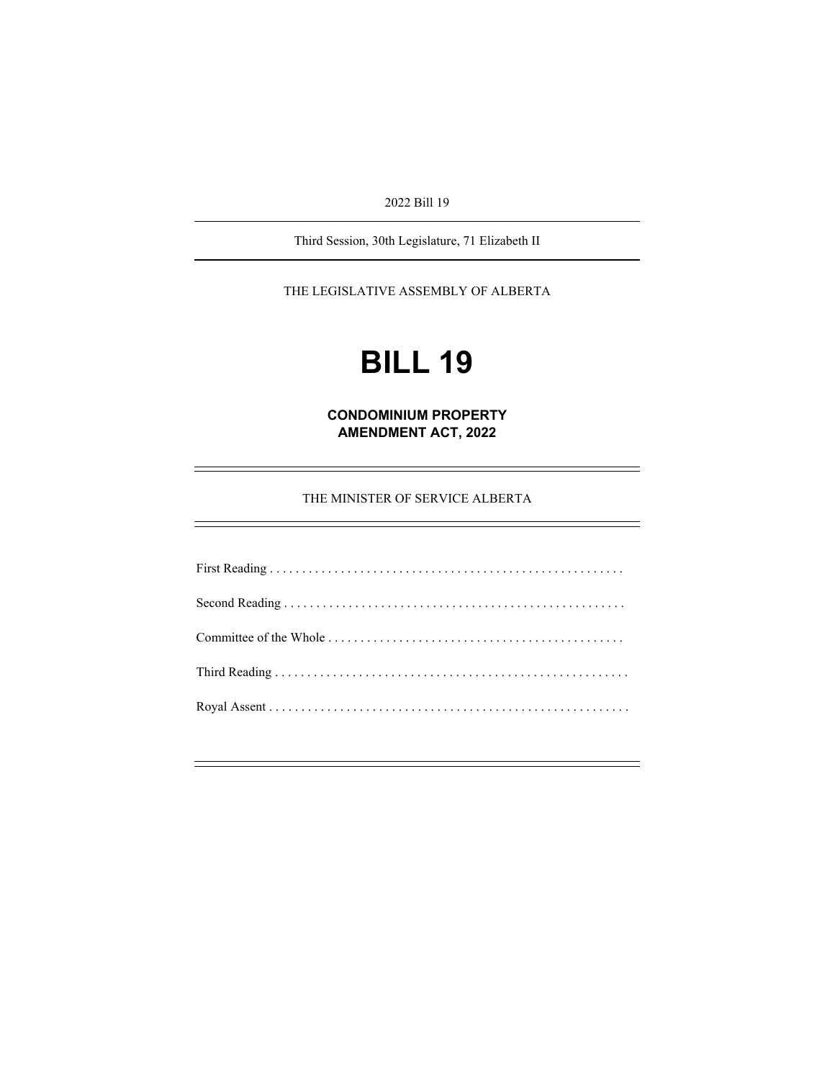2022 Bill 19

Third Session, 30th Legislature, 71 Elizabeth II

THE LEGISLATIVE ASSEMBLY OF ALBERTA

# **BILL 19**

**CONDOMINIUM PROPERTY AMENDMENT ACT, 2022** 

THE MINISTER OF SERVICE ALBERTA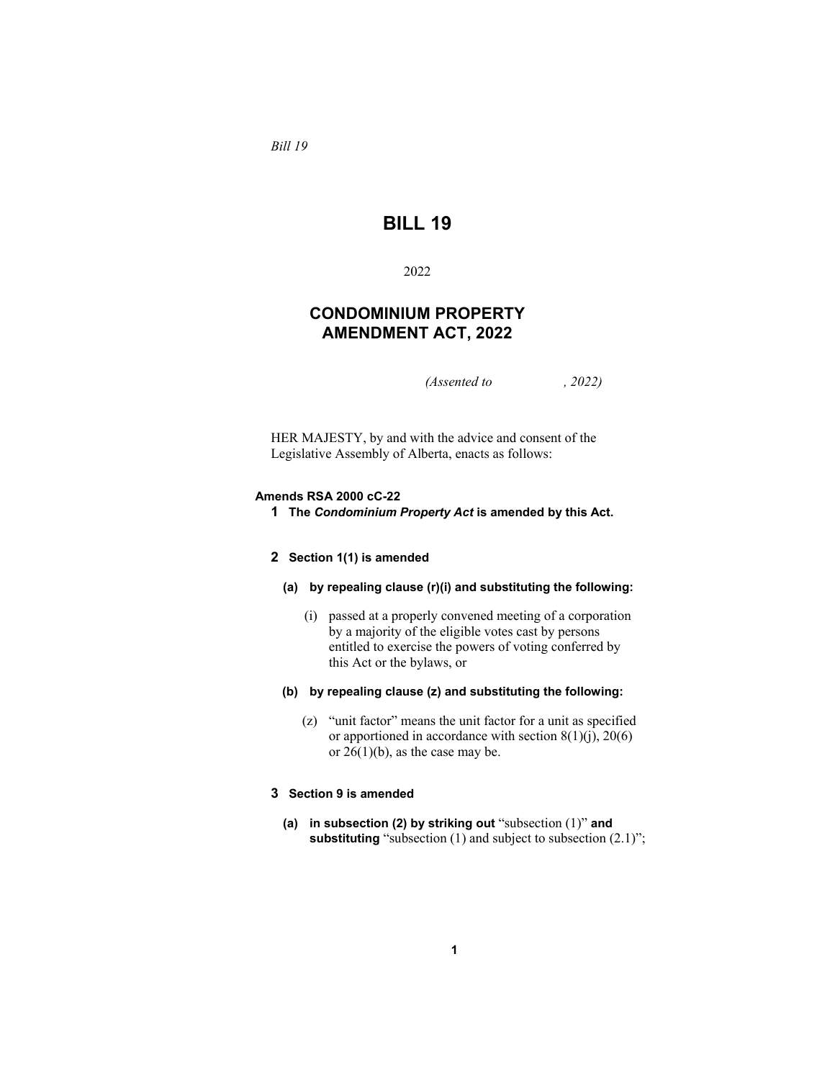*Bill 19* 

# **BILL 19**

# 2022

# **CONDOMINIUM PROPERTY AMENDMENT ACT, 2022**

*(Assented to , 2022)* 

HER MAJESTY, by and with the advice and consent of the Legislative Assembly of Alberta, enacts as follows:

#### **Amends RSA 2000 cC-22**

**1 The** *Condominium Property Act* **is amended by this Act.**

#### **2 Section 1(1) is amended**

#### **(a) by repealing clause (r)(i) and substituting the following:**

- (i) passed at a properly convened meeting of a corporation by a majority of the eligible votes cast by persons entitled to exercise the powers of voting conferred by this Act or the bylaws, or
- **(b) by repealing clause (z) and substituting the following:** 
	- (z) "unit factor" means the unit factor for a unit as specified or apportioned in accordance with section  $8(1)(j)$ ,  $20(6)$ or  $26(1)(b)$ , as the case may be.

# **3 Section 9 is amended**

**(a) in subsection (2) by striking out** "subsection (1)" **and substituting** "subsection (1) and subject to subsection (2.1)";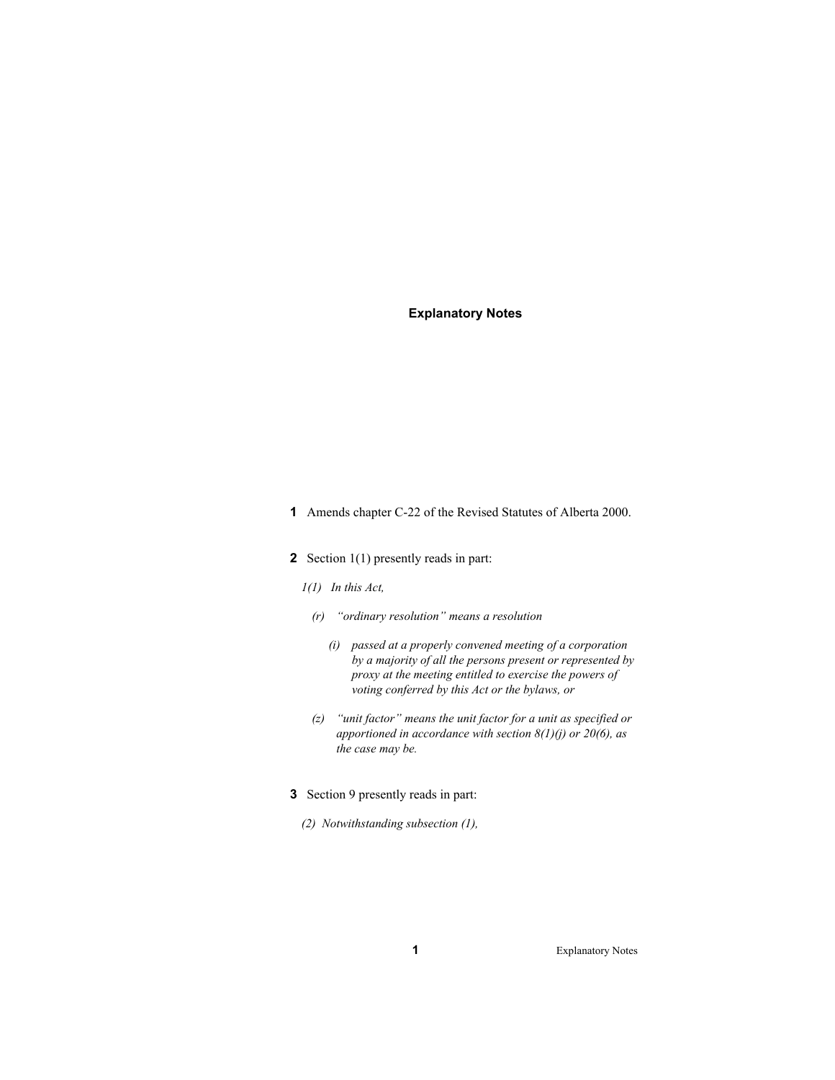- **1** Amends chapter C-22 of the Revised Statutes of Alberta 2000.
- **2** Section 1(1) presently reads in part:
	- *1(1) In this Act,* 
		- *(r) "ordinary resolution" means a resolution* 
			- *(i) passed at a properly convened meeting of a corporation by a majority of all the persons present or represented by proxy at the meeting entitled to exercise the powers of voting conferred by this Act or the bylaws, or*
		- *(z) "unit factor" means the unit factor for a unit as specified or apportioned in accordance with section 8(1)(j) or 20(6), as the case may be.*
- **3** Section 9 presently reads in part:
	- *(2) Notwithstanding subsection (1),*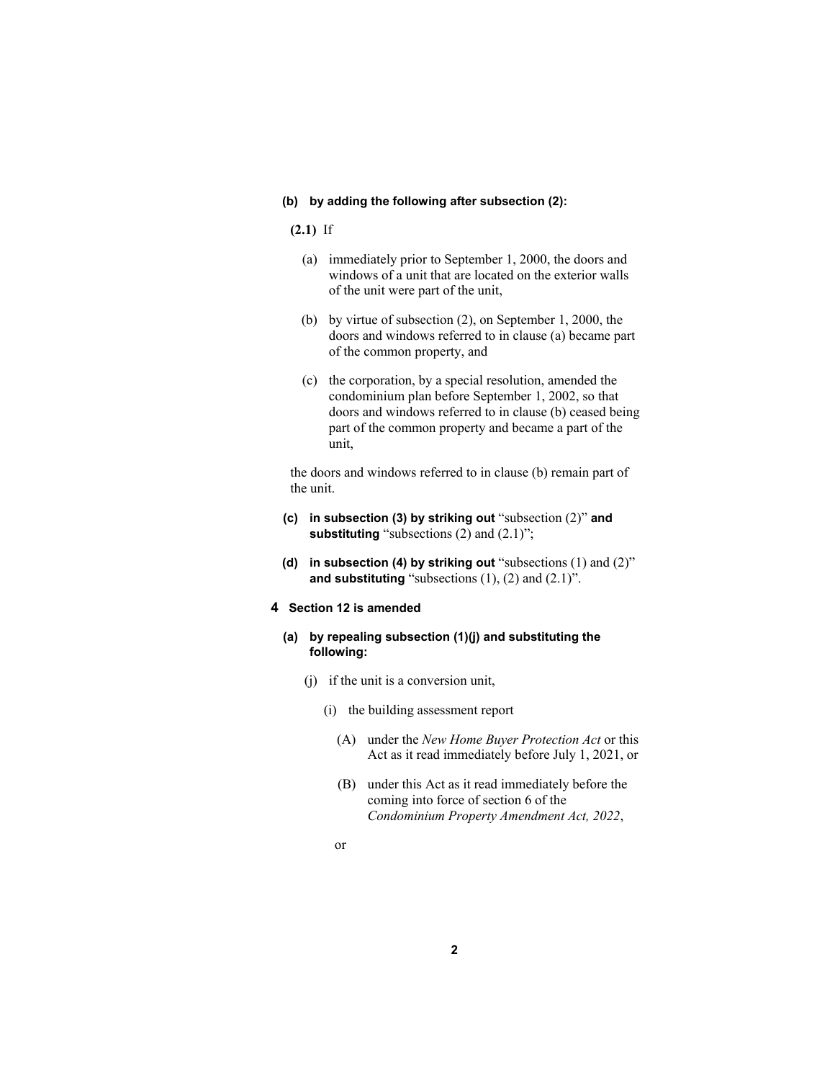#### **(b) by adding the following after subsection (2):**

**(2.1)** If

- (a) immediately prior to September 1, 2000, the doors and windows of a unit that are located on the exterior walls of the unit were part of the unit,
- (b) by virtue of subsection (2), on September 1, 2000, the doors and windows referred to in clause (a) became part of the common property, and
- (c) the corporation, by a special resolution, amended the condominium plan before September 1, 2002, so that doors and windows referred to in clause (b) ceased being part of the common property and became a part of the unit,

the doors and windows referred to in clause (b) remain part of the unit.

- **(c) in subsection (3) by striking out** "subsection (2)" **and substituting** "subsections (2) and (2.1)";
- **(d) in subsection (4) by striking out** "subsections (1) and (2)" **and substituting** "subsections  $(1)$ ,  $(2)$  and  $(2.1)$ ".
- **4 Section 12 is amended**
	- **(a) by repealing subsection (1)(j) and substituting the following:** 
		- (j) if the unit is a conversion unit,
			- (i) the building assessment report
				- (A) under the *New Home Buyer Protection Act* or this Act as it read immediately before July 1, 2021, or
				- (B) under this Act as it read immediately before the coming into force of section 6 of the *Condominium Property Amendment Act, 2022*,
				- or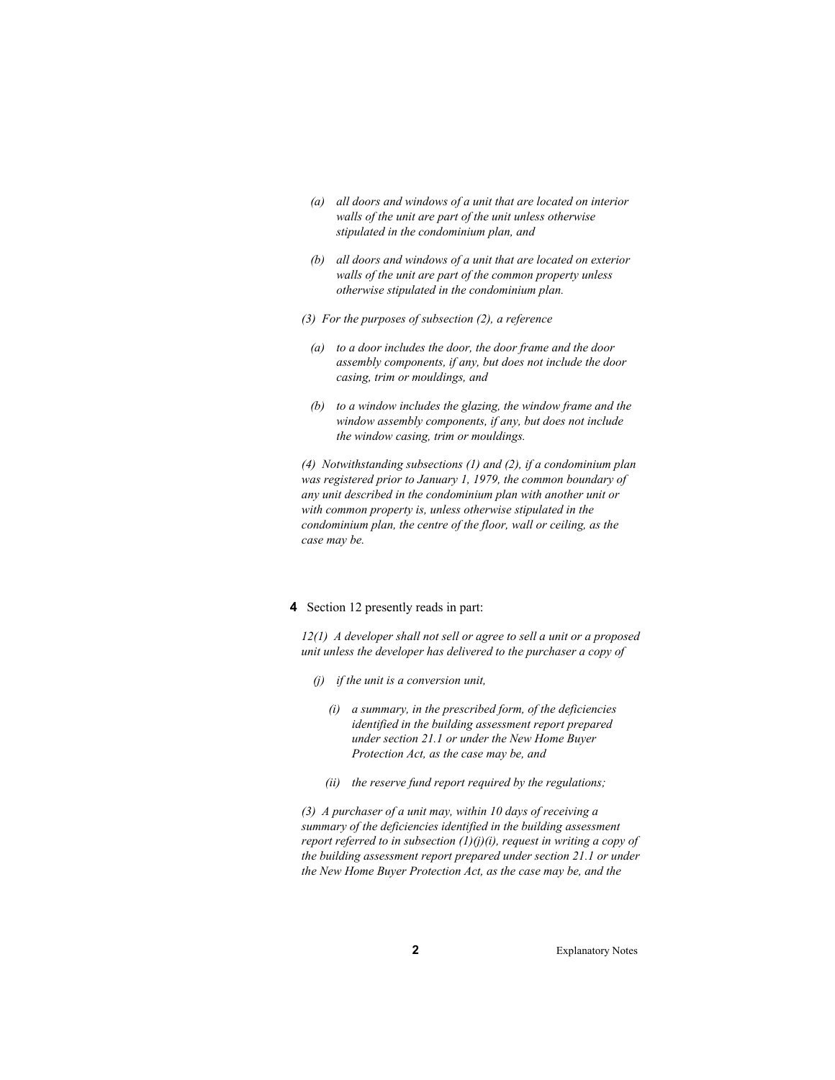- *(a) all doors and windows of a unit that are located on interior walls of the unit are part of the unit unless otherwise stipulated in the condominium plan, and*
- *(b) all doors and windows of a unit that are located on exterior walls of the unit are part of the common property unless otherwise stipulated in the condominium plan.*
- *(3) For the purposes of subsection (2), a reference* 
	- *(a) to a door includes the door, the door frame and the door assembly components, if any, but does not include the door casing, trim or mouldings, and*
	- *(b) to a window includes the glazing, the window frame and the window assembly components, if any, but does not include the window casing, trim or mouldings.*

*(4) Notwithstanding subsections (1) and (2), if a condominium plan was registered prior to January 1, 1979, the common boundary of any unit described in the condominium plan with another unit or with common property is, unless otherwise stipulated in the condominium plan, the centre of the floor, wall or ceiling, as the case may be.* 

#### **4** Section 12 presently reads in part:

*12(1) A developer shall not sell or agree to sell a unit or a proposed unit unless the developer has delivered to the purchaser a copy of* 

- *(j) if the unit is a conversion unit,* 
	- *(i) a summary, in the prescribed form, of the deficiencies identified in the building assessment report prepared under section 21.1 or under the New Home Buyer Protection Act, as the case may be, and*
	- *(ii) the reserve fund report required by the regulations;*

*(3) A purchaser of a unit may, within 10 days of receiving a summary of the deficiencies identified in the building assessment report referred to in subsection (1)(j)(i), request in writing a copy of the building assessment report prepared under section 21.1 or under the New Home Buyer Protection Act, as the case may be, and the*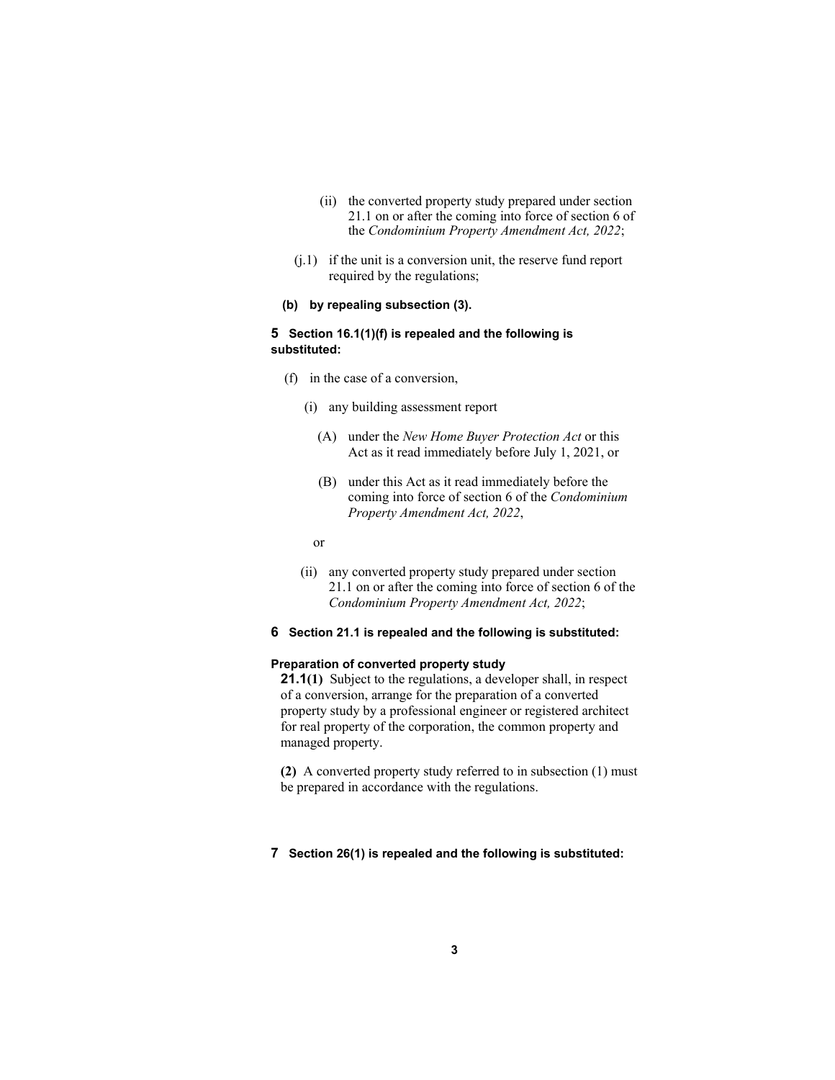- (ii) the converted property study prepared under section 21.1 on or after the coming into force of section 6 of the *Condominium Property Amendment Act, 2022*;
- (j.1) if the unit is a conversion unit, the reserve fund report required by the regulations;

# **(b) by repealing subsection (3).**

#### **5 Section 16.1(1)(f) is repealed and the following is substituted:**

- (f) in the case of a conversion,
	- (i) any building assessment report
		- (A) under the *New Home Buyer Protection Act* or this Act as it read immediately before July 1, 2021, or
		- (B) under this Act as it read immediately before the coming into force of section 6 of the *Condominium Property Amendment Act, 2022*,
	- or
	- (ii) any converted property study prepared under section 21.1 on or after the coming into force of section 6 of the *Condominium Property Amendment Act, 2022*;
- **6 Section 21.1 is repealed and the following is substituted:**

# **Preparation of converted property study**

**21.1(1)** Subject to the regulations, a developer shall, in respect of a conversion, arrange for the preparation of a converted property study by a professional engineer or registered architect for real property of the corporation, the common property and managed property.

**(2)** A converted property study referred to in subsection (1) must be prepared in accordance with the regulations.

#### **7 Section 26(1) is repealed and the following is substituted:**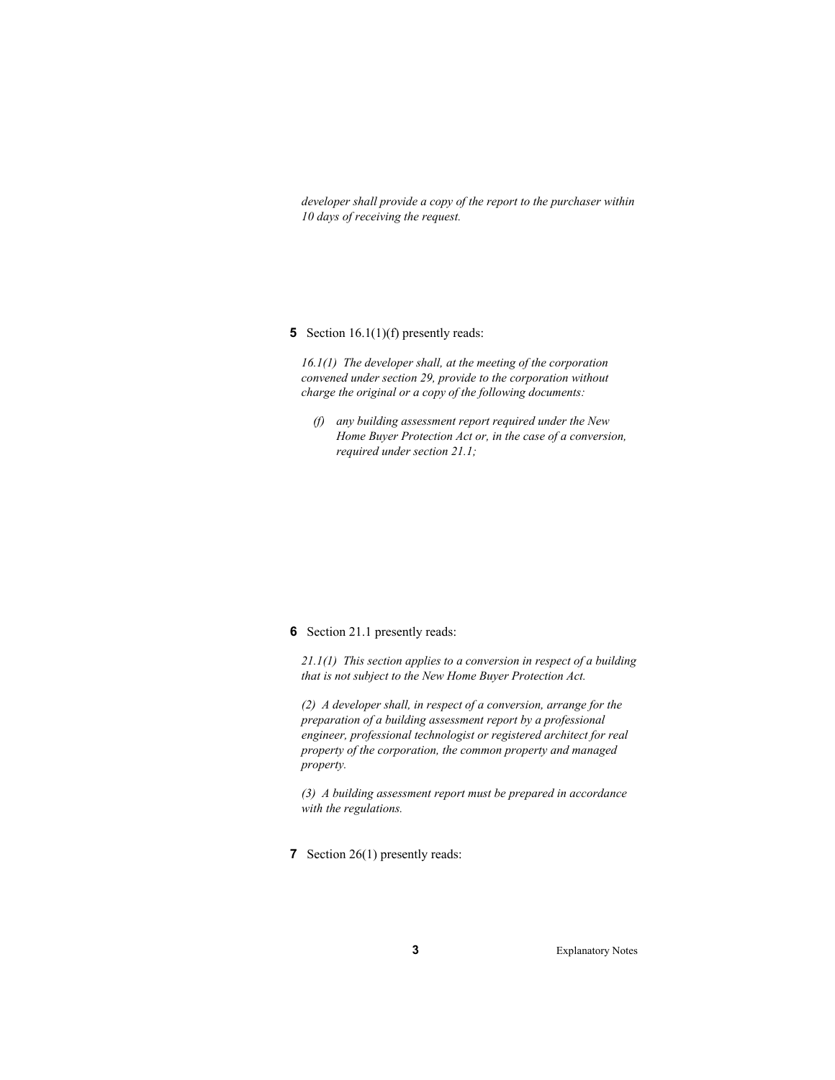*developer shall provide a copy of the report to the purchaser within 10 days of receiving the request.* 

### **5** Section 16.1(1)(f) presently reads:

*16.1(1) The developer shall, at the meeting of the corporation convened under section 29, provide to the corporation without charge the original or a copy of the following documents:* 

 *(f) any building assessment report required under the New Home Buyer Protection Act or, in the case of a conversion, required under section 21.1;* 

## **6** Section 21.1 presently reads:

*21.1(1) This section applies to a conversion in respect of a building that is not subject to the New Home Buyer Protection Act.* 

*(2) A developer shall, in respect of a conversion, arrange for the preparation of a building assessment report by a professional engineer, professional technologist or registered architect for real property of the corporation, the common property and managed property.* 

*(3) A building assessment report must be prepared in accordance with the regulations.* 

**7** Section 26(1) presently reads: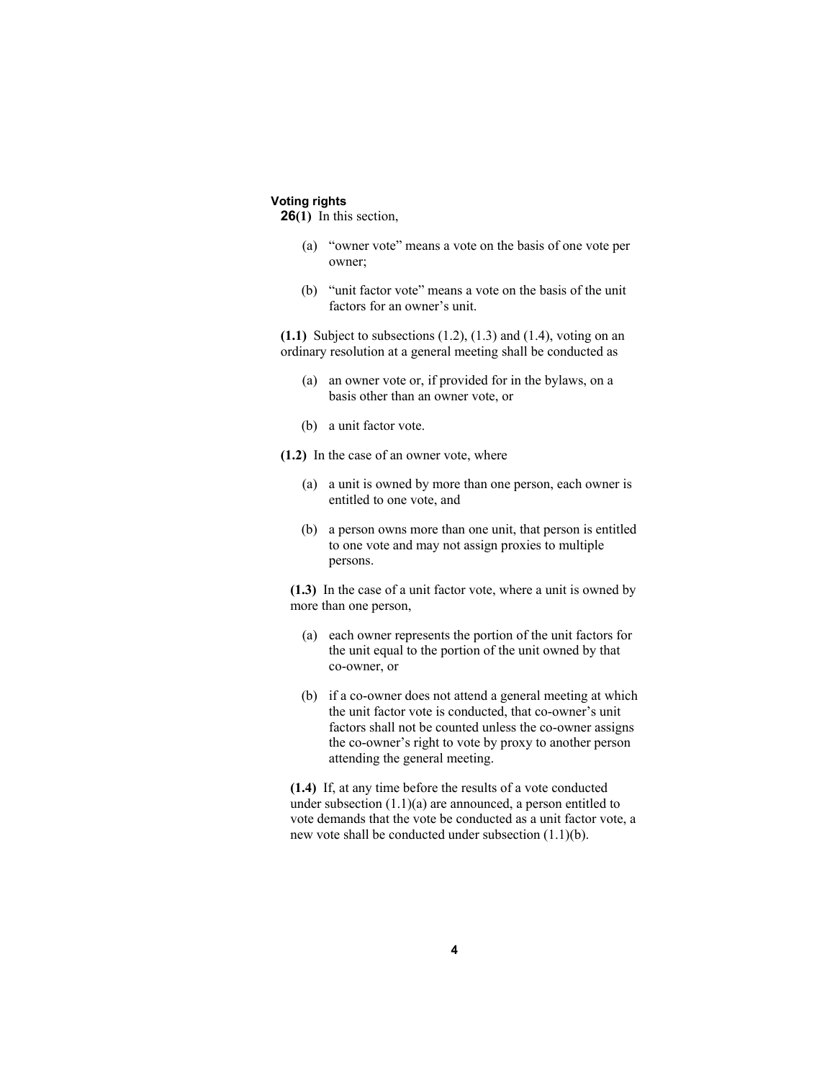# **Voting rights**

**26(1)** In this section,

- (a) "owner vote" means a vote on the basis of one vote per owner;
- (b) "unit factor vote" means a vote on the basis of the unit factors for an owner's unit.

**(1.1)** Subject to subsections (1.2), (1.3) and (1.4), voting on an ordinary resolution at a general meeting shall be conducted as

- (a) an owner vote or, if provided for in the bylaws, on a basis other than an owner vote, or
- (b) a unit factor vote.

**(1.2)** In the case of an owner vote, where

- (a) a unit is owned by more than one person, each owner is entitled to one vote, and
- (b) a person owns more than one unit, that person is entitled to one vote and may not assign proxies to multiple persons.

**(1.3)** In the case of a unit factor vote, where a unit is owned by more than one person,

- (a) each owner represents the portion of the unit factors for the unit equal to the portion of the unit owned by that co-owner, or
- (b) if a co-owner does not attend a general meeting at which the unit factor vote is conducted, that co-owner's unit factors shall not be counted unless the co-owner assigns the co-owner's right to vote by proxy to another person attending the general meeting.

**(1.4)** If, at any time before the results of a vote conducted under subsection (1.1)(a) are announced, a person entitled to vote demands that the vote be conducted as a unit factor vote, a new vote shall be conducted under subsection (1.1)(b).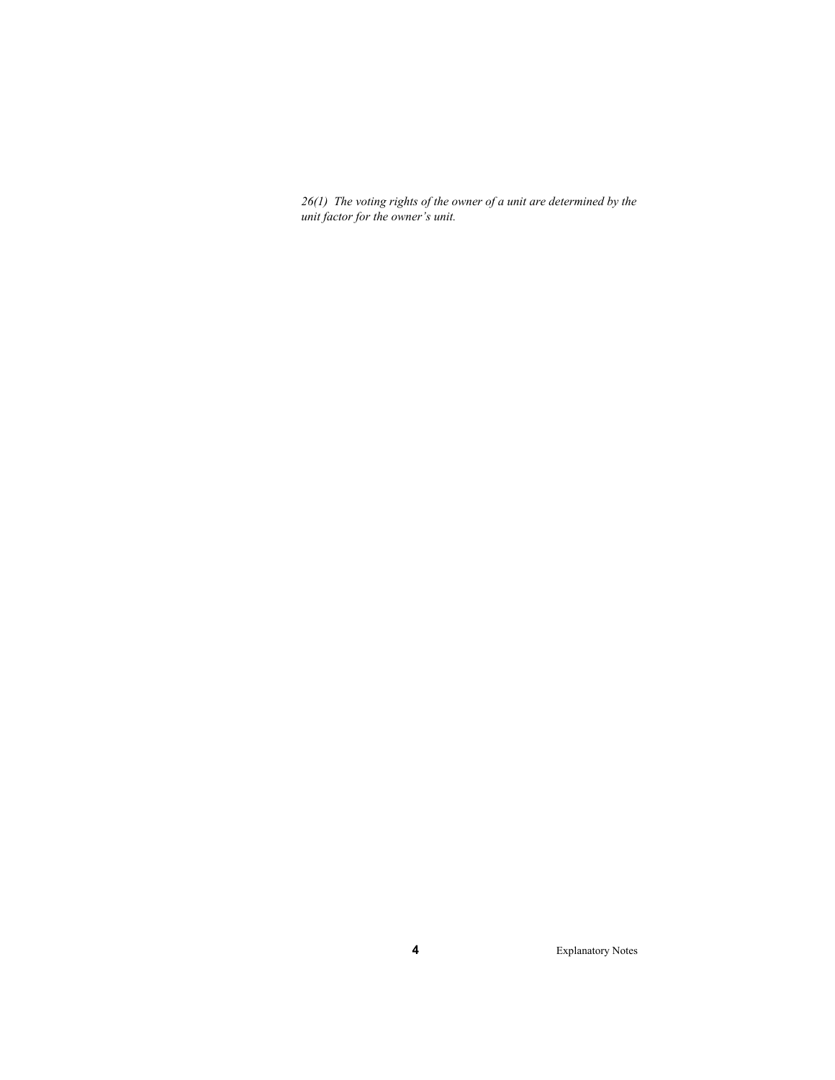*26(1) The voting rights of the owner of a unit are determined by the unit factor for the owner's unit.*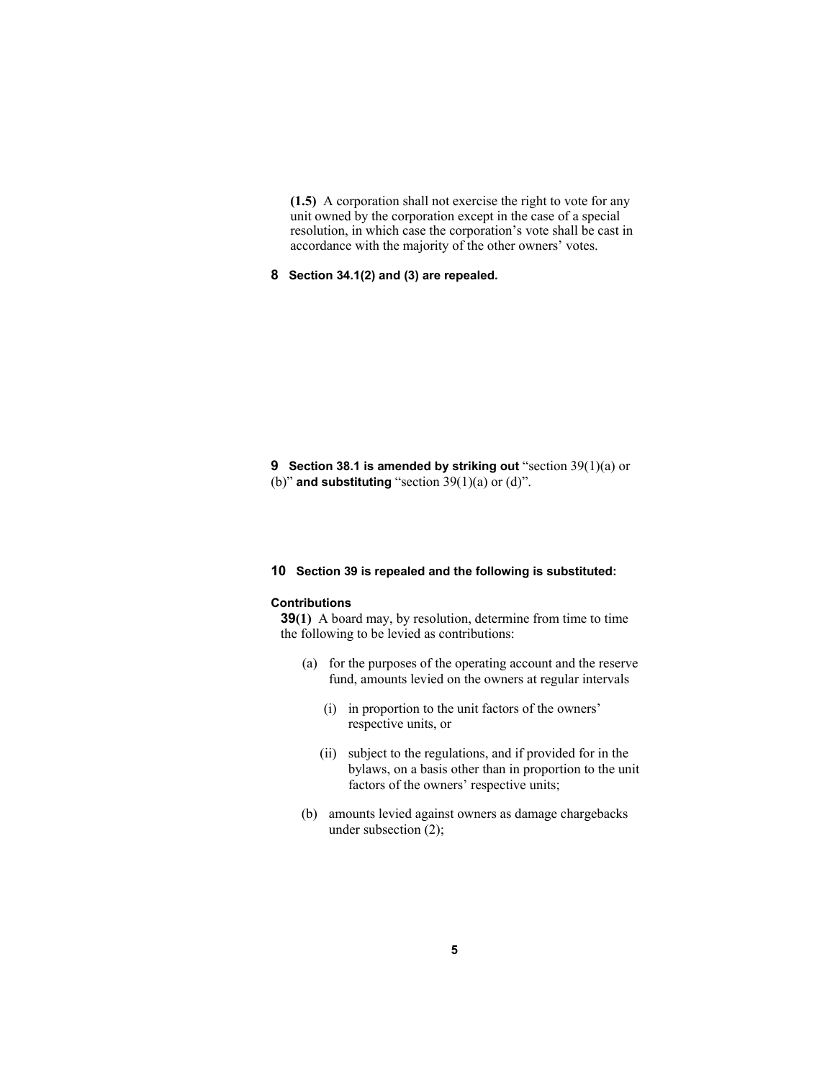**(1.5)** A corporation shall not exercise the right to vote for any unit owned by the corporation except in the case of a special resolution, in which case the corporation's vote shall be cast in accordance with the majority of the other owners' votes.

**8 Section 34.1(2) and (3) are repealed.** 

**9 Section 38.1 is amended by striking out** "section 39(1)(a) or (b)" **and substituting** "section 39(1)(a) or (d)".

#### **10 Section 39 is repealed and the following is substituted:**

#### **Contributions**

**39(1)** A board may, by resolution, determine from time to time the following to be levied as contributions:

- (a) for the purposes of the operating account and the reserve fund, amounts levied on the owners at regular intervals
	- (i) in proportion to the unit factors of the owners' respective units, or
	- (ii) subject to the regulations, and if provided for in the bylaws, on a basis other than in proportion to the unit factors of the owners' respective units;
- (b) amounts levied against owners as damage chargebacks under subsection (2);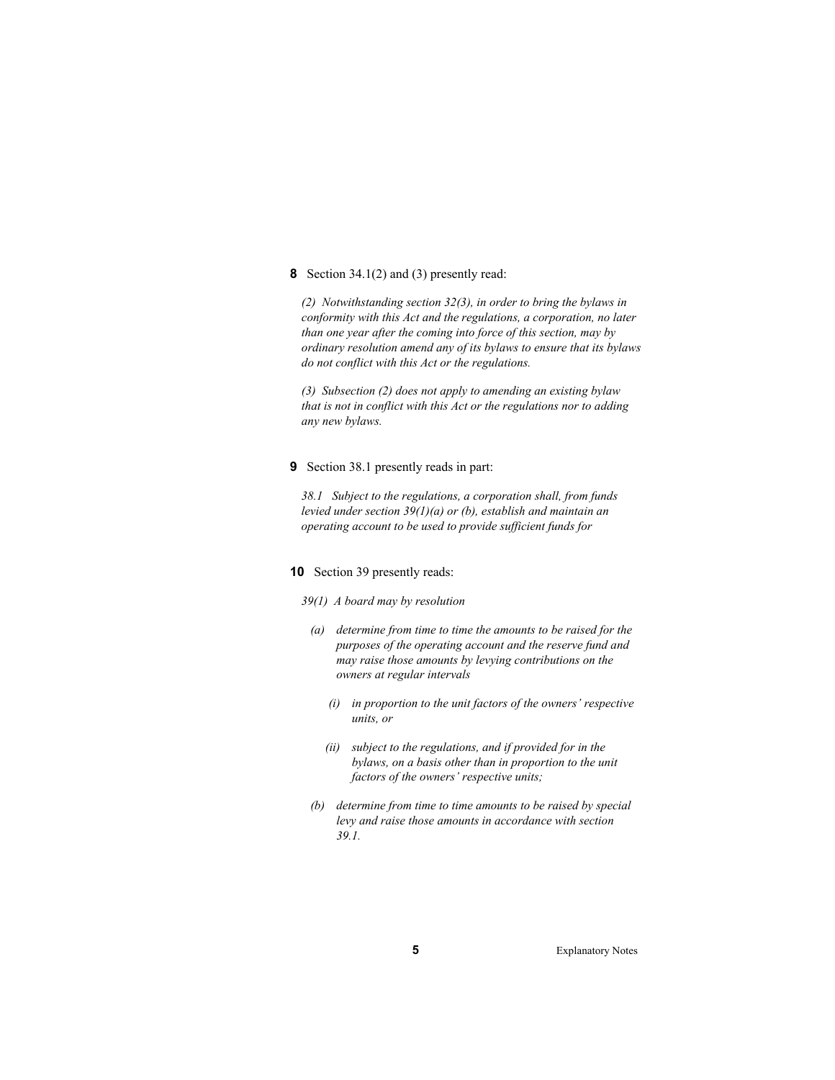#### **8** Section 34.1(2) and (3) presently read:

*(2) Notwithstanding section 32(3), in order to bring the bylaws in conformity with this Act and the regulations, a corporation, no later than one year after the coming into force of this section, may by ordinary resolution amend any of its bylaws to ensure that its bylaws do not conflict with this Act or the regulations.* 

*(3) Subsection (2) does not apply to amending an existing bylaw that is not in conflict with this Act or the regulations nor to adding any new bylaws.* 

### **9** Section 38.1 presently reads in part:

*38.1 Subject to the regulations, a corporation shall, from funds levied under section 39(1)(a) or (b), establish and maintain an operating account to be used to provide sufficient funds for* 

# **10** Section 39 presently reads:

- *39(1) A board may by resolution*
- *(a) determine from time to time the amounts to be raised for the purposes of the operating account and the reserve fund and may raise those amounts by levying contributions on the owners at regular intervals* 
	- *(i) in proportion to the unit factors of the owners' respective units, or*
	- *(ii) subject to the regulations, and if provided for in the bylaws, on a basis other than in proportion to the unit factors of the owners' respective units;*
- *(b) determine from time to time amounts to be raised by special levy and raise those amounts in accordance with section 39.1.*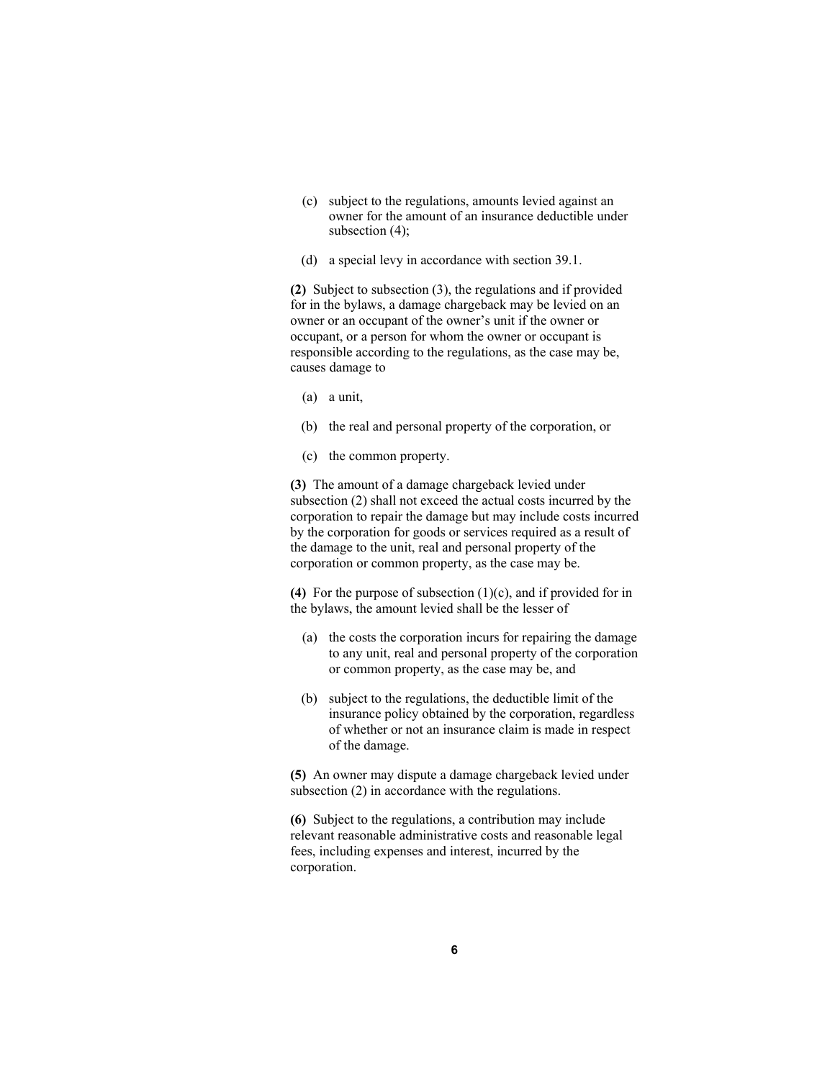- (c) subject to the regulations, amounts levied against an owner for the amount of an insurance deductible under subsection (4);
- (d) a special levy in accordance with section 39.1.

**(2)** Subject to subsection (3), the regulations and if provided for in the bylaws, a damage chargeback may be levied on an owner or an occupant of the owner's unit if the owner or occupant, or a person for whom the owner or occupant is responsible according to the regulations, as the case may be, causes damage to

- (a) a unit,
- (b) the real and personal property of the corporation, or
- (c) the common property.

**(3)** The amount of a damage chargeback levied under subsection (2) shall not exceed the actual costs incurred by the corporation to repair the damage but may include costs incurred by the corporation for goods or services required as a result of the damage to the unit, real and personal property of the corporation or common property, as the case may be.

**(4)** For the purpose of subsection (1)(c), and if provided for in the bylaws, the amount levied shall be the lesser of

- (a) the costs the corporation incurs for repairing the damage to any unit, real and personal property of the corporation or common property, as the case may be, and
- (b) subject to the regulations, the deductible limit of the insurance policy obtained by the corporation, regardless of whether or not an insurance claim is made in respect of the damage.

**(5)** An owner may dispute a damage chargeback levied under subsection (2) in accordance with the regulations.

**(6)** Subject to the regulations, a contribution may include relevant reasonable administrative costs and reasonable legal fees, including expenses and interest, incurred by the corporation.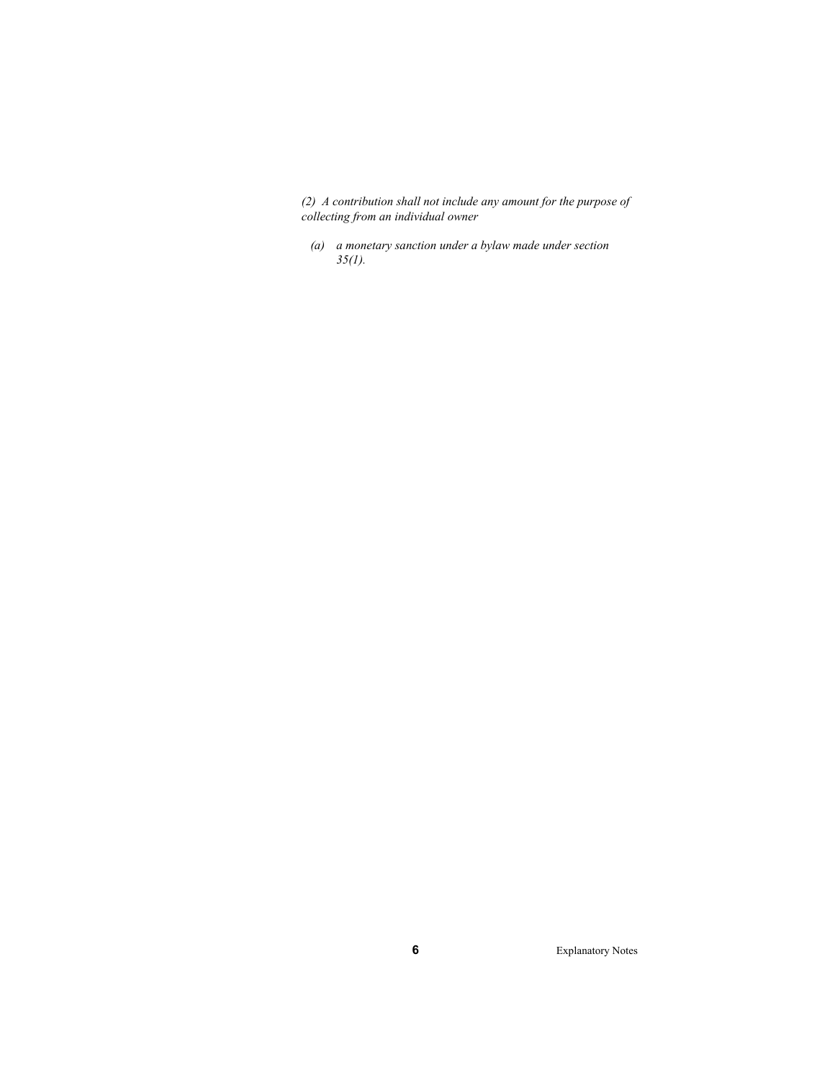*(2) A contribution shall not include any amount for the purpose of collecting from an individual owner* 

 *(a) a monetary sanction under a bylaw made under section 35(1).*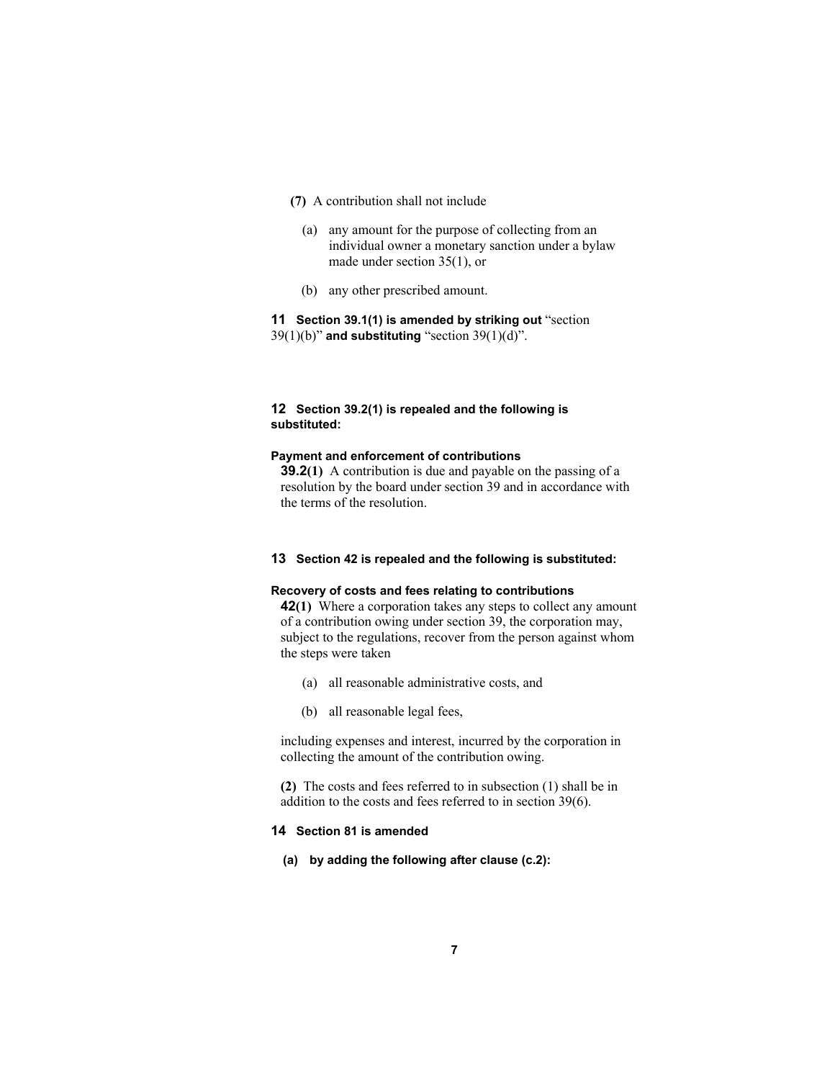- **(7)** A contribution shall not include
	- (a) any amount for the purpose of collecting from an individual owner a monetary sanction under a bylaw made under section 35(1), or
	- (b) any other prescribed amount.

**11 Section 39.1(1) is amended by striking out** "section 39(1)(b)" **and substituting** "section 39(1)(d)".

# **12 Section 39.2(1) is repealed and the following is substituted:**

#### **Payment and enforcement of contributions**

**39.2(1)** A contribution is due and payable on the passing of a resolution by the board under section 39 and in accordance with the terms of the resolution.

#### **13 Section 42 is repealed and the following is substituted:**

#### **Recovery of costs and fees relating to contributions**

**42(1)** Where a corporation takes any steps to collect any amount of a contribution owing under section 39, the corporation may, subject to the regulations, recover from the person against whom the steps were taken

- (a) all reasonable administrative costs, and
- (b) all reasonable legal fees,

including expenses and interest, incurred by the corporation in collecting the amount of the contribution owing.

**(2)** The costs and fees referred to in subsection (1) shall be in addition to the costs and fees referred to in section 39(6).

# **14 Section 81 is amended**

**(a) by adding the following after clause (c.2):**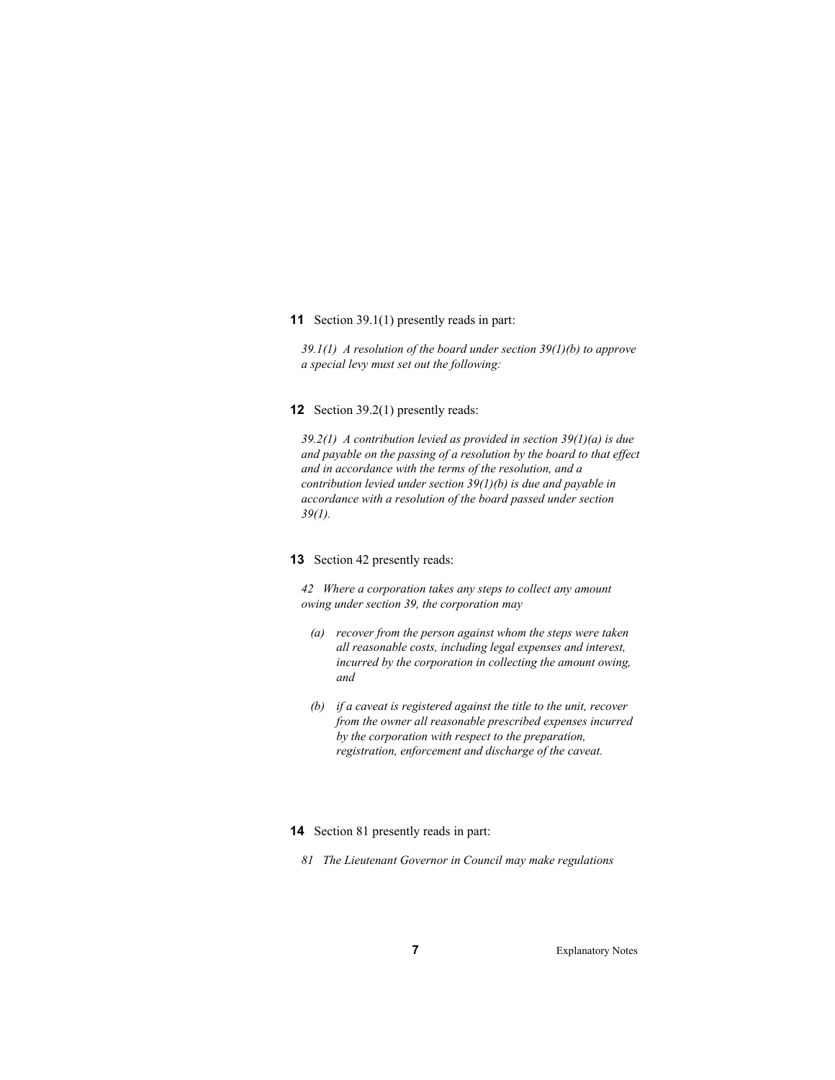**11** Section 39.1(1) presently reads in part:

*39.1(1) A resolution of the board under section 39(1)(b) to approve a special levy must set out the following:* 

#### **12** Section 39.2(1) presently reads:

*39.2(1) A contribution levied as provided in section 39(1)(a) is due and payable on the passing of a resolution by the board to that effect and in accordance with the terms of the resolution, and a contribution levied under section 39(1)(b) is due and payable in accordance with a resolution of the board passed under section 39(1).* 

# **13** Section 42 presently reads:

*42 Where a corporation takes any steps to collect any amount owing under section 39, the corporation may* 

- *(a) recover from the person against whom the steps were taken all reasonable costs, including legal expenses and interest, incurred by the corporation in collecting the amount owing, and*
- *(b) if a caveat is registered against the title to the unit, recover from the owner all reasonable prescribed expenses incurred by the corporation with respect to the preparation, registration, enforcement and discharge of the caveat.*

# **14** Section 81 presently reads in part:

*81 The Lieutenant Governor in Council may make regulations*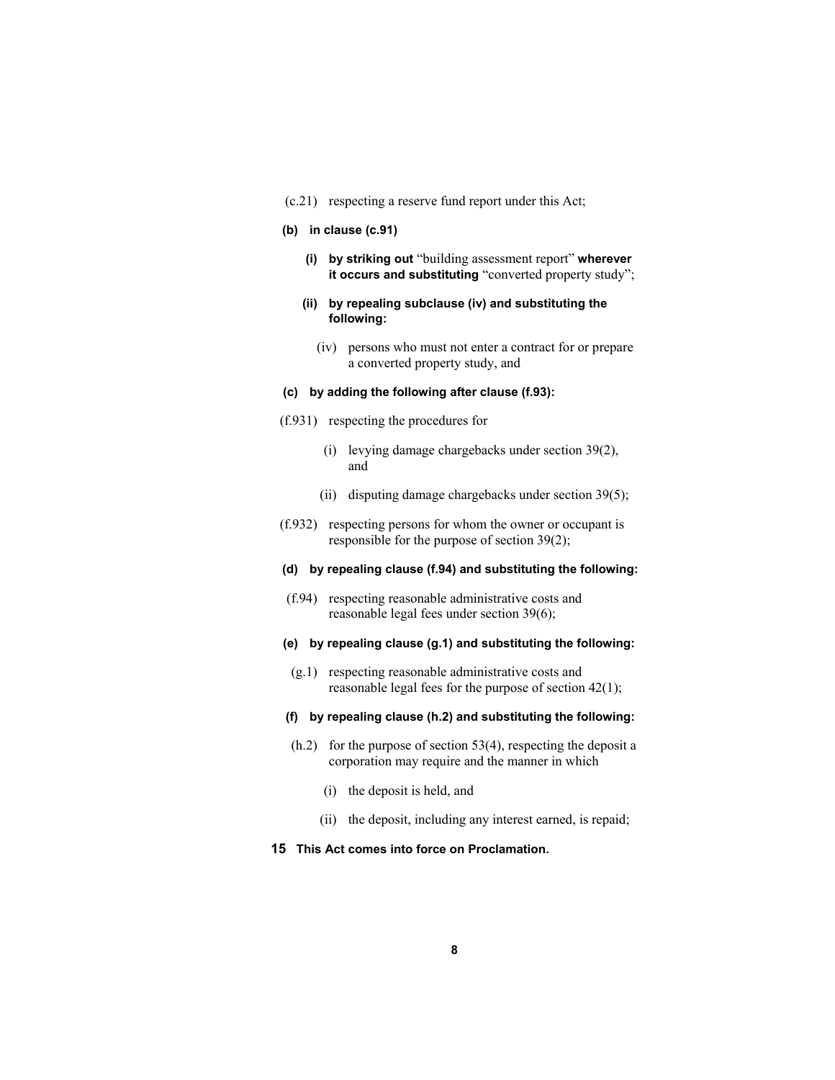(c.21) respecting a reserve fund report under this Act;

#### **(b) in clause (c.91)**

- **(i) by striking out** "building assessment report" **wherever it occurs and substituting** "converted property study";
- **(ii) by repealing subclause (iv) and substituting the following:** 
	- (iv) persons who must not enter a contract for or prepare a converted property study, and

# **(c) by adding the following after clause (f.93):**

- (f.931) respecting the procedures for
	- (i) levying damage chargebacks under section 39(2), and
	- (ii) disputing damage chargebacks under section 39(5);
- (f.932) respecting persons for whom the owner or occupant is responsible for the purpose of section 39(2);

# **(d) by repealing clause (f.94) and substituting the following:**

- (f.94) respecting reasonable administrative costs and reasonable legal fees under section 39(6);
- **(e) by repealing clause (g.1) and substituting the following:**
- (g.1) respecting reasonable administrative costs and reasonable legal fees for the purpose of section 42(1);

#### **(f) by repealing clause (h.2) and substituting the following:**

- $(h.2)$  for the purpose of section 53(4), respecting the deposit a corporation may require and the manner in which
	- (i) the deposit is held, and
	- (ii) the deposit, including any interest earned, is repaid;

# **15 This Act comes into force on Proclamation.**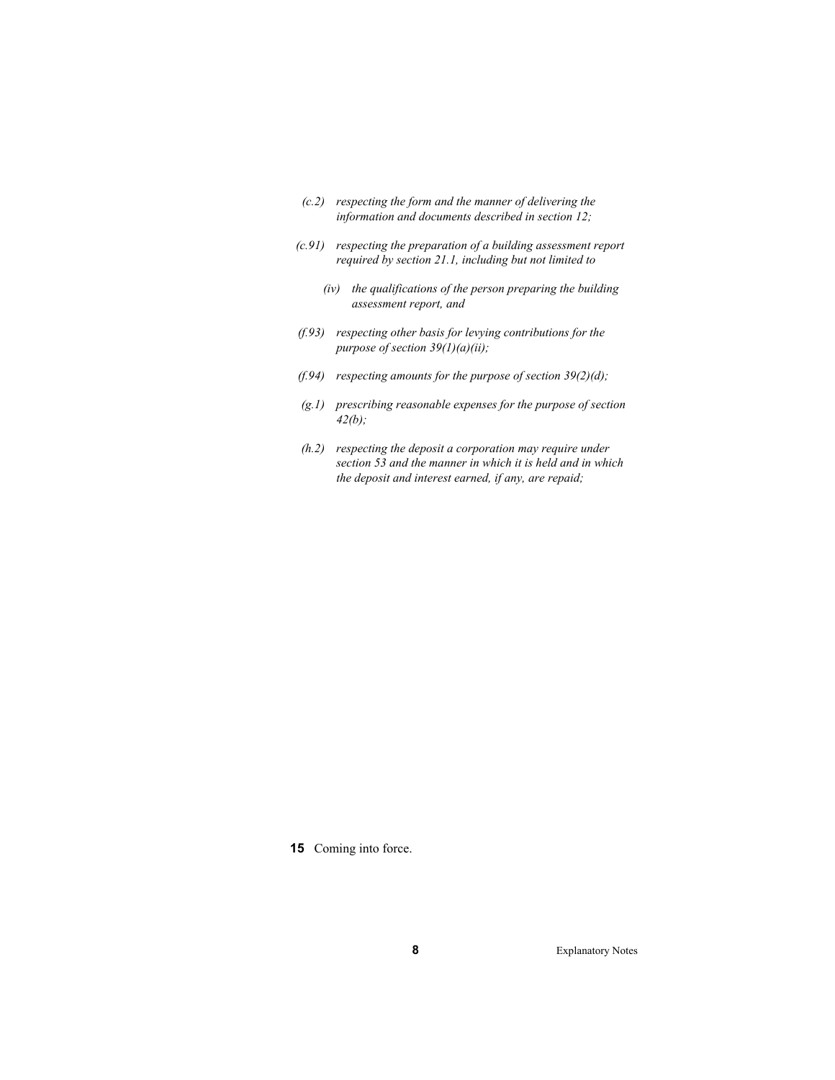- *(c.2) respecting the form and the manner of delivering the information and documents described in section 12;*
- *(c.91) respecting the preparation of a building assessment report required by section 21.1, including but not limited to* 
	- *(iv) the qualifications of the person preparing the building assessment report, and*
- *(f.93) respecting other basis for levying contributions for the purpose of section 39(1)(a)(ii);*
- *(f.94) respecting amounts for the purpose of section 39(2)(d);*
- *(g.1) prescribing reasonable expenses for the purpose of section 42(b);*
- *(h.2) respecting the deposit a corporation may require under section 53 and the manner in which it is held and in which the deposit and interest earned, if any, are repaid;*

**15** Coming into force.